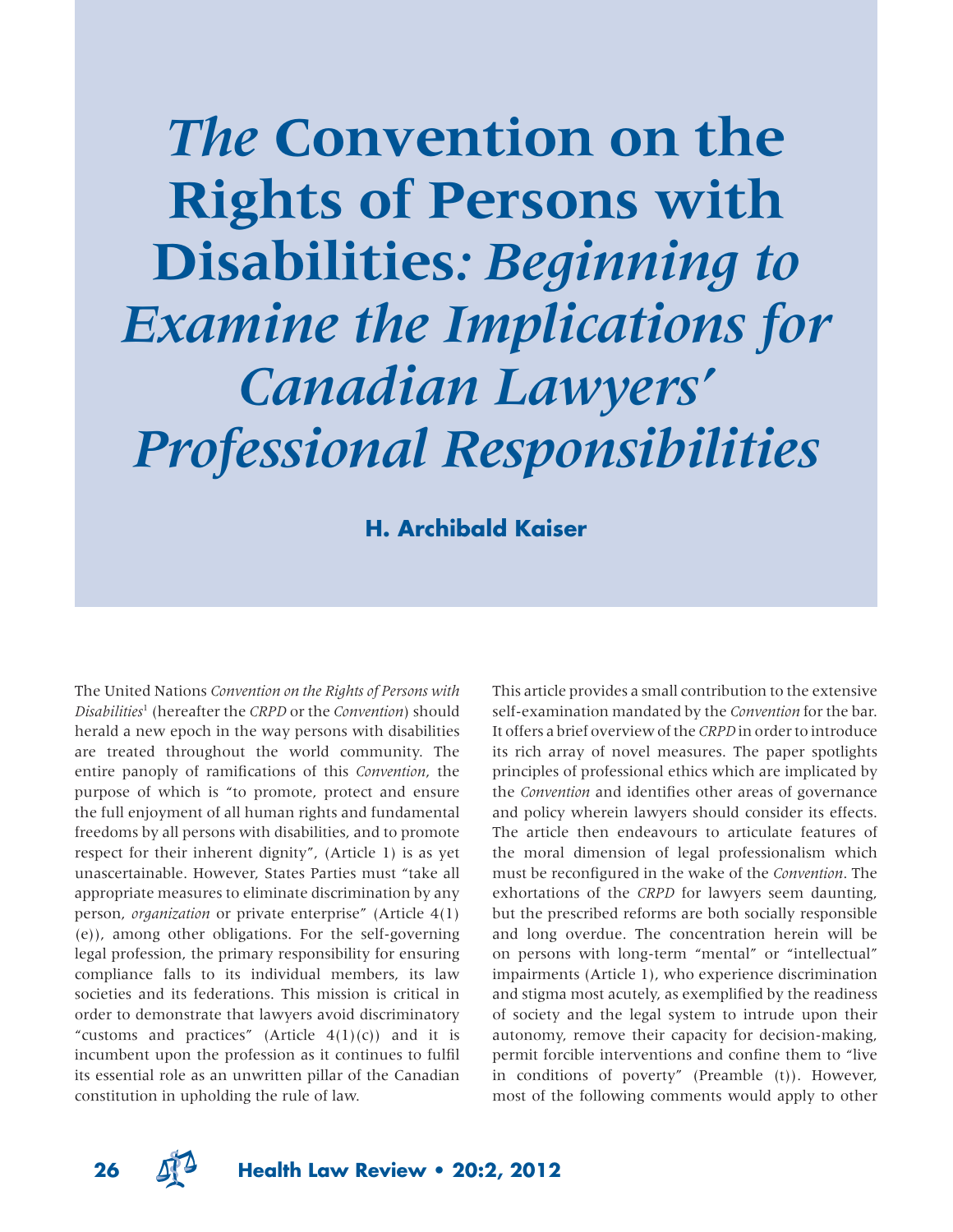*The* **Convention on the Rights of Persons with Disabilities***: Beginning to Examine the Implications for Canadian Lawyers' Professional Responsibilities*

**H. Archibald Kaiser**

The United Nations *Convention on the Rights of Persons with Disabilities*<sup>1</sup> (hereafter the *CRPD* or the *Convention*) should herald a new epoch in the way persons with disabilities are treated throughout the world community. The entire panoply of ramifications of this *Convention*, the purpose of which is "to promote, protect and ensure the full enjoyment of all human rights and fundamental freedoms by all persons with disabilities, and to promote respect for their inherent dignity", (Article 1) is as yet unascertainable. However, States Parties must "take all appropriate measures to eliminate discrimination by any person, *organization* or private enterprise" (Article 4(1) (e)), among other obligations. For the self-governing legal profession, the primary responsibility for ensuring compliance falls to its individual members, its law societies and its federations. This mission is critical in order to demonstrate that lawyers avoid discriminatory "customs and practices" (Article  $4(1)(c)$ ) and it is incumbent upon the profession as it continues to fulfil its essential role as an unwritten pillar of the Canadian constitution in upholding the rule of law.

This article provides a small contribution to the extensive self-examination mandated by the *Convention* for the bar. It offers a brief overview of the *CRPD* in order to introduce its rich array of novel measures. The paper spotlights principles of professional ethics which are implicated by the *Convention* and identifies other areas of governance and policy wherein lawyers should consider its effects. The article then endeavours to articulate features of the moral dimension of legal professionalism which must be reconfigured in the wake of the *Convention*. The exhortations of the *CRPD* for lawyers seem daunting, but the prescribed reforms are both socially responsible and long overdue. The concentration herein will be on persons with long-term "mental" or "intellectual" impairments (Article 1), who experience discrimination and stigma most acutely, as exemplified by the readiness of society and the legal system to intrude upon their autonomy, remove their capacity for decision-making, permit forcible interventions and confine them to "live" in conditions of poverty" (Preamble (t)). However, most of the following comments would apply to other



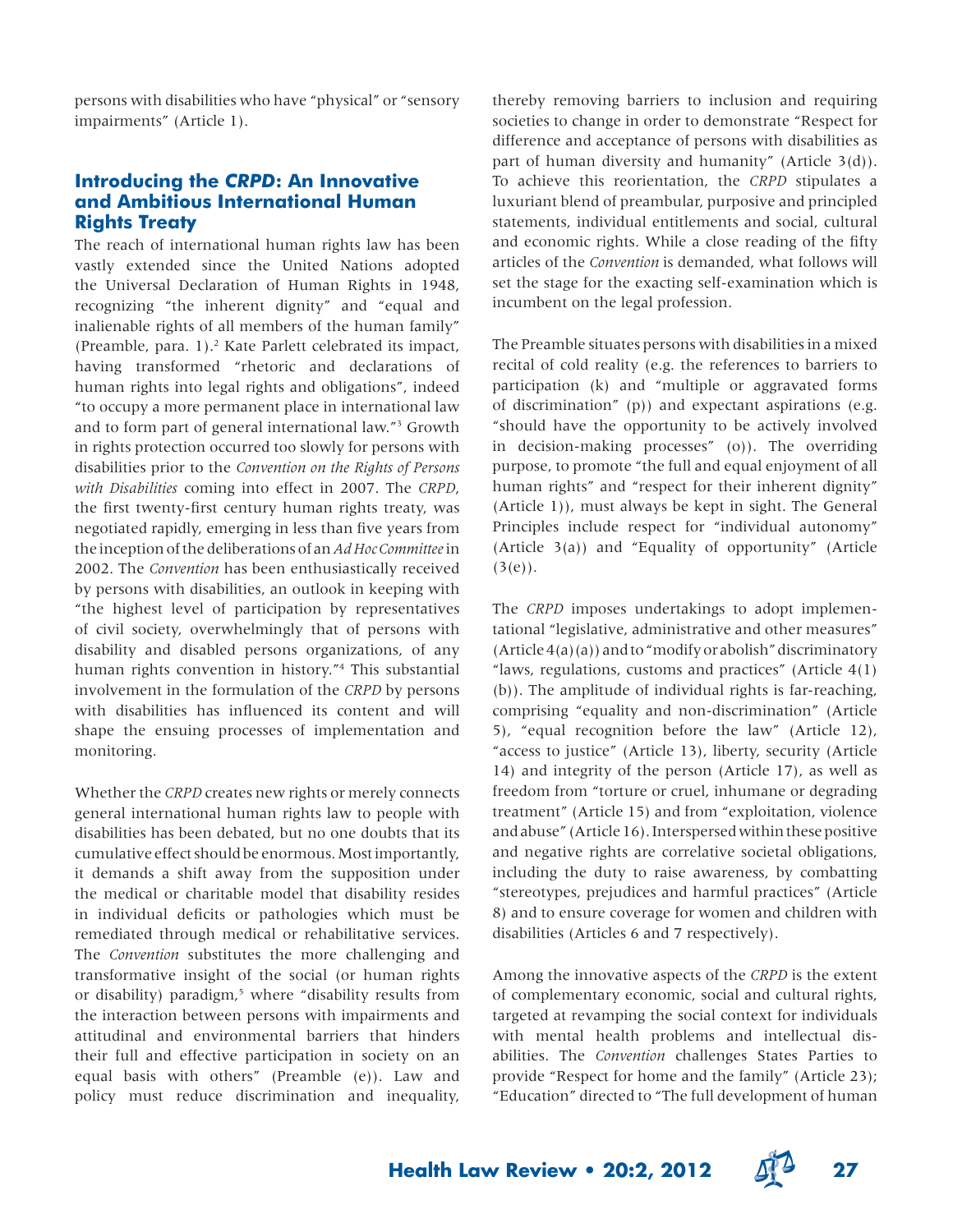persons with disabilities who have "physical" or "sensory impairments" (Article 1).

# **Introducing the** *CRPD***: An Innovative and Ambitious International Human Rights Treaty**

The reach of international human rights law has been vastly extended since the United Nations adopted the Universal Declaration of Human Rights in 1948, recognizing "the inherent dignity" and "equal and inalienable rights of all members of the human family" (Preamble, para. 1).<sup>2</sup> Kate Parlett celebrated its impact, having transformed "rhetoric and declarations of human rights into legal rights and obligations", indeed "to occupy a more permanent place in international law and to form part of general international law."3 Growth in rights protection occurred too slowly for persons with disabilities prior to the *Convention on the Rights of Persons with Disabilities* coming into effect in 2007. The *CRPD*, the first twenty-first century human rights treaty, was negotiated rapidly, emerging in less than five years from the inception of the deliberations of an *Ad Hoc Committee* in 2002. The *Convention* has been enthusiastically received by persons with disabilities, an outlook in keeping with "the highest level of participation by representatives of civil society, overwhelmingly that of persons with disability and disabled persons organizations, of any human rights convention in history."4 This substantial involvement in the formulation of the *CRPD* by persons with disabilities has influenced its content and will shape the ensuing processes of implementation and monitoring.

Whether the *CRPD* creates new rights or merely connects general international human rights law to people with disabilities has been debated, but no one doubts that its cumulative effect should be enormous. Most importantly, it demands a shift away from the supposition under the medical or charitable model that disability resides in individual deficits or pathologies which must be remediated through medical or rehabilitative services. The *Convention* substitutes the more challenging and transformative insight of the social (or human rights or disability) paradigm,<sup>5</sup> where "disability results from the interaction between persons with impairments and attitudinal and environmental barriers that hinders their full and effective participation in society on an equal basis with others" (Preamble (e)). Law and policy must reduce discrimination and inequality,

thereby removing barriers to inclusion and requiring societies to change in order to demonstrate "Respect for difference and acceptance of persons with disabilities as part of human diversity and humanity" (Article 3(d)). To achieve this reorientation, the *CRPD* stipulates a luxuriant blend of preambular, purposive and principled statements, individual entitlements and social, cultural and economic rights. While a close reading of the fifty articles of the *Convention* is demanded, what follows will set the stage for the exacting self-examination which is incumbent on the legal profession.

The Preamble situates persons with disabilities in a mixed recital of cold reality (e.g. the references to barriers to participation (k) and "multiple or aggravated forms of discrimination" (p)) and expectant aspirations (e.g. "should have the opportunity to be actively involved in decision-making processes" (o)). The overriding purpose, to promote "the full and equal enjoyment of all human rights" and "respect for their inherent dignity" (Article 1)), must always be kept in sight. The General Principles include respect for "individual autonomy" (Article 3(a)) and "Equality of opportunity" (Article  $(3(e))$ .

The *CRPD* imposes undertakings to adopt implementational "legislative, administrative and other measures"  $(Article 4(a)(a))$  and to "modify or abolish" discriminatory "laws, regulations, customs and practices" (Article  $4(1)$ ) (b)). The amplitude of individual rights is far-reaching, comprising "equality and non-discrimination" (Article 5), "equal recognition before the law" (Article 12), "access to justice" (Article 13), liberty, security (Article 14) and integrity of the person (Article 17), as well as freedom from "torture or cruel, inhumane or degrading treatment" (Article 15) and from "exploitation, violence and abuse" (Article 16). Interspersed within these positive and negative rights are correlative societal obligations, including the duty to raise awareness, by combatting "stereotypes, prejudices and harmful practices" (Article 8) and to ensure coverage for women and children with disabilities (Articles 6 and 7 respectively).

Among the innovative aspects of the *CRPD* is the extent of complementary economic, social and cultural rights, targeted at revamping the social context for individuals with mental health problems and intellectual disabilities. The *Convention* challenges States Parties to provide "Respect for home and the family" (Article 23); "Education" directed to "The full development of human

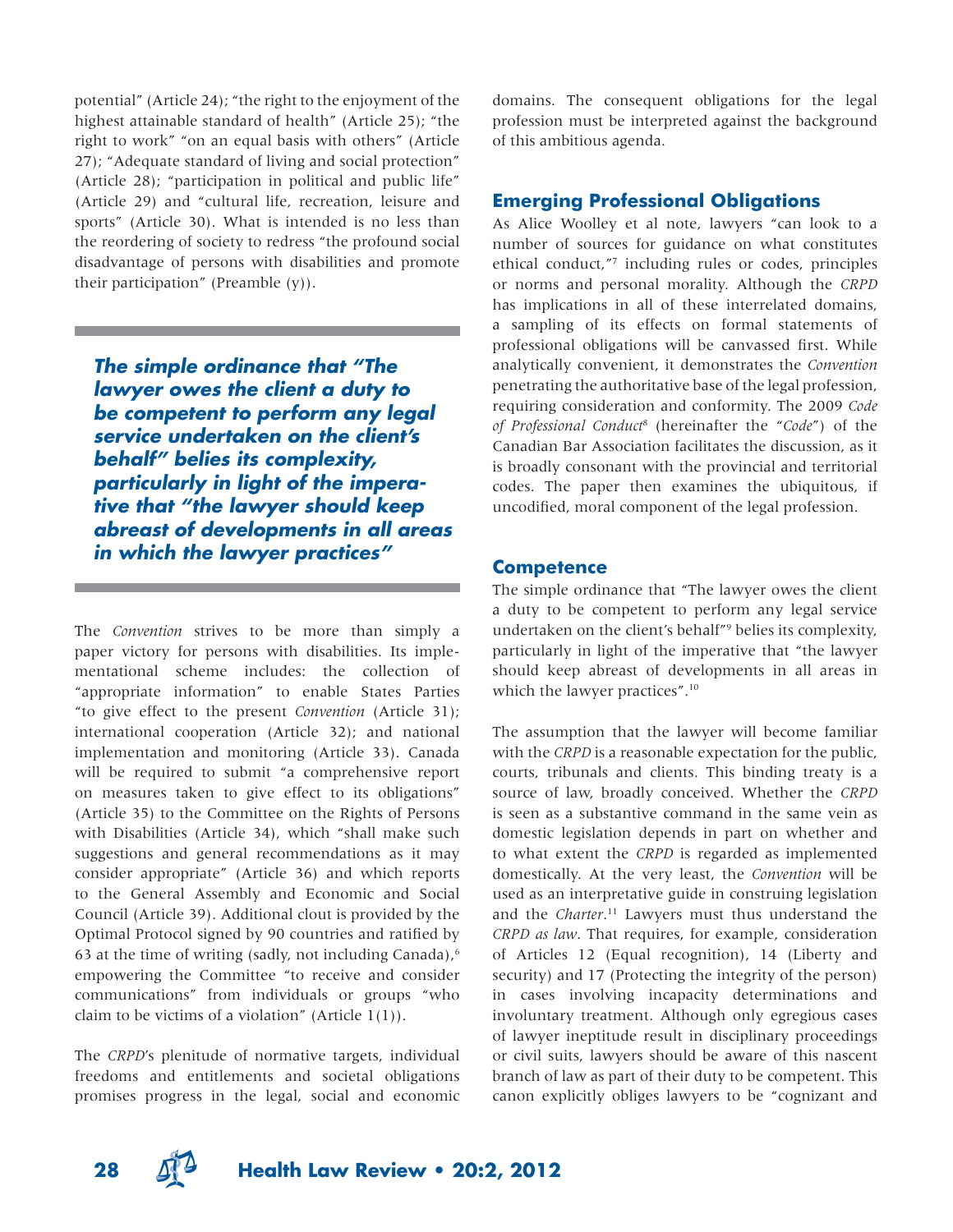potential" (Article 24); "the right to the enjoyment of the highest attainable standard of health" (Article 25); "the right to work" "on an equal basis with others" (Article 27); "Adequate standard of living and social protection" (Article 28); "participation in political and public life" (Article 29) and "cultural life, recreation, leisure and sports" (Article 30). What is intended is no less than the reordering of society to redress "the profound social disadvantage of persons with disabilities and promote their participation" (Preamble  $(y)$ ).

*The simple ordinance that "The lawyer owes the client a duty to be competent to perform any legal service undertaken on the client's behalf" belies its complexity, particularly in light of the imperative that "the lawyer should keep abreast of developments in all areas in which the lawyer practices"*

The *Convention* strives to be more than simply a paper victory for persons with disabilities. Its implementational scheme includes: the collection of "appropriate information" to enable States Parties "to give effect to the present *Convention* (Article 31); international cooperation (Article 32); and national implementation and monitoring (Article 33). Canada will be required to submit "a comprehensive report on measures taken to give effect to its obligations" (Article 35) to the Committee on the Rights of Persons with Disabilities (Article 34), which "shall make such suggestions and general recommendations as it may consider appropriate" (Article 36) and which reports to the General Assembly and Economic and Social Council (Article 39). Additional clout is provided by the Optimal Protocol signed by 90 countries and ratified by 63 at the time of writing (sadly, not including Canada), $\delta$ empowering the Committee "to receive and consider communications" from individuals or groups "who claim to be victims of a violation" (Article  $1(1)$ ).

The *CRPD*'s plenitude of normative targets, individual freedoms and entitlements and societal obligations promises progress in the legal, social and economic domains. The consequent obligations for the legal profession must be interpreted against the background of this ambitious agenda.

## **Emerging Professional Obligations**

As Alice Woolley et al note, lawyers "can look to a number of sources for guidance on what constitutes ethical conduct,"7 including rules or codes, principles or norms and personal morality. Although the *CRPD* has implications in all of these interrelated domains, a sampling of its effects on formal statements of professional obligations will be canvassed first. While analytically convenient, it demonstrates the *Convention* penetrating the authoritative base of the legal profession, requiring consideration and conformity. The 2009 *Code of Professional Conduct*<sup>8</sup> (hereinafter the "*Code*") of the Canadian Bar Association facilitates the discussion, as it is broadly consonant with the provincial and territorial codes. The paper then examines the ubiquitous, if uncodified, moral component of the legal profession.

### **Competence**

The simple ordinance that "The lawyer owes the client a duty to be competent to perform any legal service undertaken on the client's behalf"9 belies its complexity, particularly in light of the imperative that "the lawyer should keep abreast of developments in all areas in which the lawyer practices".<sup>10</sup>

The assumption that the lawyer will become familiar with the *CRPD* is a reasonable expectation for the public, courts, tribunals and clients. This binding treaty is a source of law, broadly conceived. Whether the *CRPD* is seen as a substantive command in the same vein as domestic legislation depends in part on whether and to what extent the *CRPD* is regarded as implemented domestically. At the very least, the *Convention* will be used as an interpretative guide in construing legislation and the *Charter*. 11 Lawyers must thus understand the *CRPD as law*. That requires, for example, consideration of Articles 12 (Equal recognition), 14 (Liberty and security) and 17 (Protecting the integrity of the person) in cases involving incapacity determinations and involuntary treatment. Although only egregious cases of lawyer ineptitude result in disciplinary proceedings or civil suits, lawyers should be aware of this nascent branch of law as part of their duty to be competent. This canon explicitly obliges lawyers to be "cognizant and

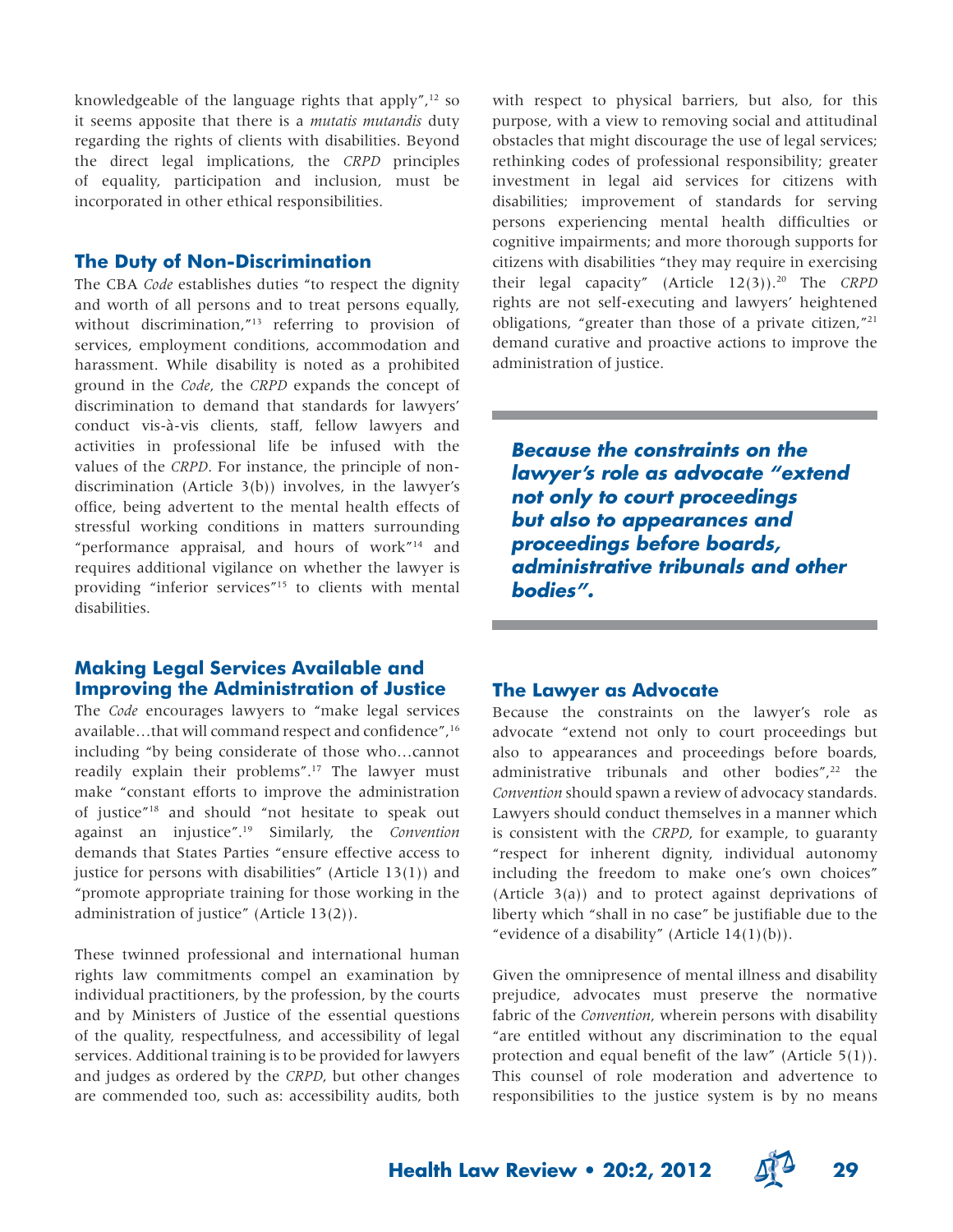knowledgeable of the language rights that apply", $12$  so it seems apposite that there is a *mutatis mutandis* duty regarding the rights of clients with disabilities. Beyond the direct legal implications, the *CRPD* principles of equality, participation and inclusion, must be incorporated in other ethical responsibilities.

#### **The Duty of Non-Discrimination**

The CBA *Code* establishes duties "to respect the dignity and worth of all persons and to treat persons equally, without discrimination,"13 referring to provision of services, employment conditions, accommodation and harassment. While disability is noted as a prohibited ground in the *Code*, the *CRPD* expands the concept of discrimination to demand that standards for lawyers' conduct vis-à-vis clients, staff, fellow lawyers and activities in professional life be infused with the values of the *CRPD*. For instance, the principle of nondiscrimination (Article 3(b)) involves, in the lawyer's office, being advertent to the mental health effects of stressful working conditions in matters surrounding "performance appraisal, and hours of work"14 and requires additional vigilance on whether the lawyer is providing "inferior services"15 to clients with mental disabilities.

# **Making Legal Services Available and Improving the Administration of Justice**

The *Code* encourages lawyers to "make legal services available...that will command respect and confidence",<sup>16</sup> including "by being considerate of those who…cannot readily explain their problems".<sup>17</sup> The lawyer must make "constant efforts to improve the administration of justice"18 and should "not hesitate to speak out against an injustice".19 Similarly, the *Convention* demands that States Parties "ensure effective access to justice for persons with disabilities" (Article 13(1)) and "promote appropriate training for those working in the administration of justice" (Article 13(2)).

These twinned professional and international human rights law commitments compel an examination by individual practitioners, by the profession, by the courts and by Ministers of Justice of the essential questions of the quality, respectfulness, and accessibility of legal services. Additional training is to be provided for lawyers and judges as ordered by the *CRPD*, but other changes are commended too, such as: accessibility audits, both with respect to physical barriers, but also, for this purpose, with a view to removing social and attitudinal obstacles that might discourage the use of legal services; rethinking codes of professional responsibility; greater investment in legal aid services for citizens with disabilities; improvement of standards for serving persons experiencing mental health difficulties or cognitive impairments; and more thorough supports for citizens with disabilities "they may require in exercising their legal capacity" (Article 12(3)).20 The *CRPD* rights are not self-executing and lawyers' heightened obligations, "greater than those of a private citizen,"21 demand curative and proactive actions to improve the administration of justice.

*Because the constraints on the lawyer's role as advocate "extend not only to court proceedings but also to appearances and proceedings before boards, administrative tribunals and other bodies".*

### **The Lawyer as Advocate**

Because the constraints on the lawyer's role as advocate "extend not only to court proceedings but also to appearances and proceedings before boards, administrative tribunals and other bodies", $22$  the *Convention* should spawn a review of advocacy standards. Lawyers should conduct themselves in a manner which is consistent with the *CRPD*, for example, to guaranty "respect for inherent dignity, individual autonomy including the freedom to make one's own choices" (Article 3(a)) and to protect against deprivations of liberty which "shall in no case" be justifiable due to the "evidence of a disability" (Article  $14(1)(b)$ ).

Given the omnipresence of mental illness and disability prejudice, advocates must preserve the normative fabric of the *Convention*, wherein persons with disability "are entitled without any discrimination to the equal protection and equal benefit of the law" (Article  $5(1)$ ). This counsel of role moderation and advertence to responsibilities to the justice system is by no means

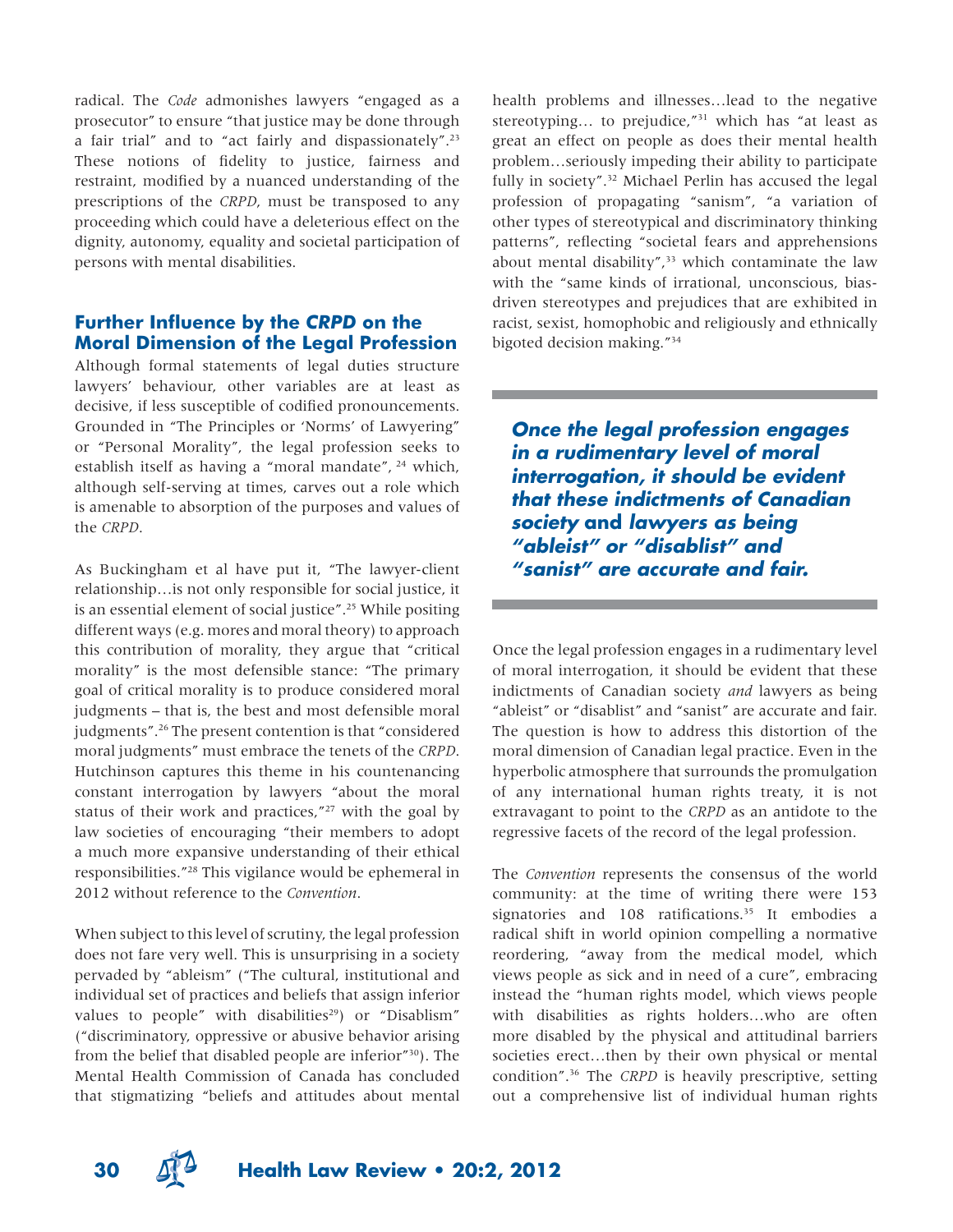radical. The *Code* admonishes lawyers "engaged as a prosecutor" to ensure "that justice may be done through a fair trial" and to "act fairly and dispassionately".23 These notions of fidelity to justice, fairness and restraint, modified by a nuanced understanding of the prescriptions of the *CRPD*, must be transposed to any proceeding which could have a deleterious effect on the dignity, autonomy, equality and societal participation of persons with mental disabilities.

## **Further Influence by the** *CRPD* **on the Moral Dimension of the Legal Profession**

Although formal statements of legal duties structure lawyers' behaviour, other variables are at least as decisive, if less susceptible of codified pronouncements. Grounded in "The Principles or 'Norms' of Lawyering" or "Personal Morality", the legal profession seeks to establish itself as having a "moral mandate", 24 which, although self-serving at times, carves out a role which is amenable to absorption of the purposes and values of the *CRPD*.

As Buckingham et al have put it, "The lawyer-client relationship…is not only responsible for social justice, it is an essential element of social justice".25 While positing different ways (e.g. mores and moral theory) to approach this contribution of morality, they argue that "critical morality" is the most defensible stance: "The primary goal of critical morality is to produce considered moral judgments – that is, the best and most defensible moral judgments".26 The present contention is that "considered moral judgments" must embrace the tenets of the *CRPD*. Hutchinson captures this theme in his countenancing constant interrogation by lawyers "about the moral status of their work and practices, $127$  with the goal by law societies of encouraging "their members to adopt a much more expansive understanding of their ethical responsibilities."28 This vigilance would be ephemeral in 2012 without reference to the *Convention*.

When subject to this level of scrutiny, the legal profession does not fare very well. This is unsurprising in a society pervaded by "ableism" ("The cultural, institutional and individual set of practices and beliefs that assign inferior values to people" with disabilities<sup>29</sup>) or "Disablism" ("discriminatory, oppressive or abusive behavior arising from the belief that disabled people are inferior"30). The Mental Health Commission of Canada has concluded that stigmatizing "beliefs and attitudes about mental

health problems and illnesses…lead to the negative stereotyping... to prejudice,"<sup>31</sup> which has "at least as great an effect on people as does their mental health problem…seriously impeding their ability to participate fully in society".<sup>32</sup> Michael Perlin has accused the legal profession of propagating "sanism", "a variation of other types of stereotypical and discriminatory thinking patterns", reflecting "societal fears and apprehensions about mental disability", $33$  which contaminate the law with the "same kinds of irrational, unconscious, biasdriven stereotypes and prejudices that are exhibited in racist, sexist, homophobic and religiously and ethnically bigoted decision making."34

*Once the legal profession engages in a rudimentary level of moral interrogation, it should be evident that these indictments of Canadian society* **and** *lawyers as being "ableist" or "disablist" and "sanist" are accurate and fair.* 

Once the legal profession engages in a rudimentary level of moral interrogation, it should be evident that these indictments of Canadian society *and* lawyers as being "ableist" or "disablist" and "sanist" are accurate and fair. The question is how to address this distortion of the moral dimension of Canadian legal practice. Even in the hyperbolic atmosphere that surrounds the promulgation of any international human rights treaty, it is not extravagant to point to the *CRPD* as an antidote to the regressive facets of the record of the legal profession.

The *Convention* represents the consensus of the world community: at the time of writing there were 153 signatories and 108 ratifications.<sup>35</sup> It embodies a radical shift in world opinion compelling a normative reordering, "away from the medical model, which views people as sick and in need of a cure", embracing instead the "human rights model, which views people with disabilities as rights holders…who are often more disabled by the physical and attitudinal barriers societies erect…then by their own physical or mental condition".36 The *CRPD* is heavily prescriptive, setting out a comprehensive list of individual human rights



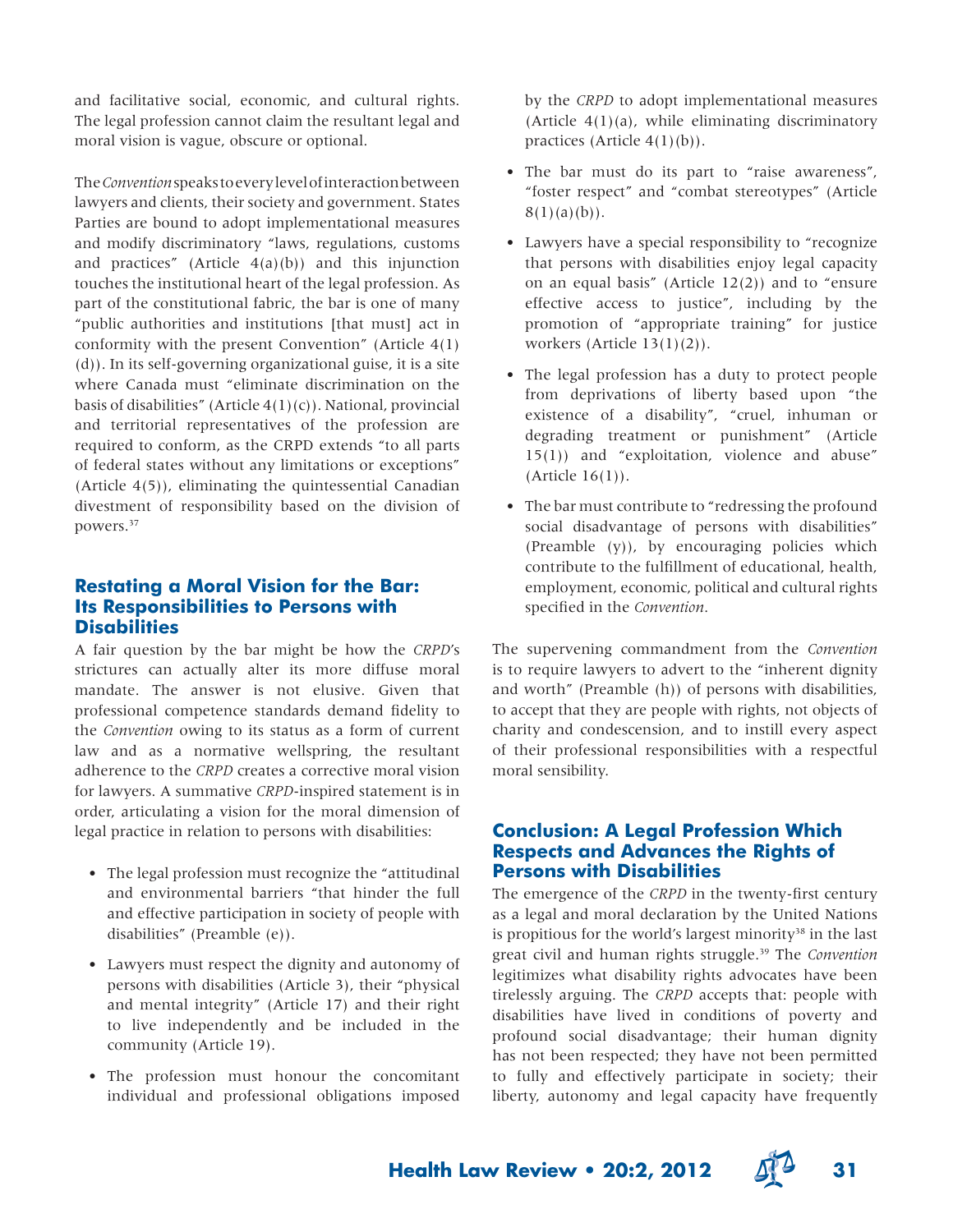and facilitative social, economic, and cultural rights. The legal profession cannot claim the resultant legal and moral vision is vague, obscure or optional.

The *Convention* speaks to every level of interaction between lawyers and clients, their society and government. States Parties are bound to adopt implementational measures and modify discriminatory "laws, regulations, customs and practices" (Article  $4(a)(b)$ ) and this injunction touches the institutional heart of the legal profession. As part of the constitutional fabric, the bar is one of many "public authorities and institutions [that must] act in conformity with the present Convention" (Article 4(1) (d)). In its self-governing organizational guise, it is a site where Canada must "eliminate discrimination on the basis of disabilities" (Article  $4(1)(c)$ ). National, provincial and territorial representatives of the profession are required to conform, as the CRPD extends "to all parts of federal states without any limitations or exceptions" (Article 4(5)), eliminating the quintessential Canadian divestment of responsibility based on the division of powers.<sup>37</sup>

## **Restating a Moral Vision for the Bar: Its Responsibilities to Persons with Disabilities**

A fair question by the bar might be how the *CRPD*'s strictures can actually alter its more diffuse moral mandate. The answer is not elusive. Given that professional competence standards demand fidelity to the *Convention* owing to its status as a form of current law and as a normative wellspring, the resultant adherence to the *CRPD* creates a corrective moral vision for lawyers. A summative *CRPD*-inspired statement is in order, articulating a vision for the moral dimension of legal practice in relation to persons with disabilities:

- The legal profession must recognize the "attitudinal and environmental barriers "that hinder the full and effective participation in society of people with disabilities" (Preamble (e)).
- Lawyers must respect the dignity and autonomy of persons with disabilities (Article 3), their "physical and mental integrity" (Article 17) and their right to live independently and be included in the community (Article 19).
- The profession must honour the concomitant individual and professional obligations imposed

by the *CRPD* to adopt implementational measures (Article  $4(1)(a)$ , while eliminating discriminatory practices (Article  $4(1)(b)$ ).

- The bar must do its part to "raise awareness", "foster respect" and "combat stereotypes" (Article  $8(1)(a)(b)$ .
- Lawyers have a special responsibility to "recognize that persons with disabilities enjoy legal capacity on an equal basis" (Article  $12(2)$ ) and to "ensure effective access to justice", including by the promotion of "appropriate training" for justice workers (Article 13(1)(2)).
- The legal profession has a duty to protect people from deprivations of liberty based upon "the existence of a disability", "cruel, inhuman or degrading treatment or punishment" (Article 15(1)) and "exploitation, violence and abuse" (Article 16(1)).
- The bar must contribute to "redressing the profound social disadvantage of persons with disabilities" (Preamble  $(y)$ ), by encouraging policies which contribute to the fulfillment of educational, health, employment, economic, political and cultural rights specified in the *Convention*.

The supervening commandment from the *Convention* is to require lawyers to advert to the "inherent dignity and worth" (Preamble (h)) of persons with disabilities, to accept that they are people with rights, not objects of charity and condescension, and to instill every aspect of their professional responsibilities with a respectful moral sensibility.

## **Conclusion: A Legal Profession Which Respects and Advances the Rights of Persons with Disabilities**

The emergence of the *CRPD* in the twenty-first century as a legal and moral declaration by the United Nations is propitious for the world's largest minority<sup>38</sup> in the last great civil and human rights struggle.39 The *Convention* legitimizes what disability rights advocates have been tirelessly arguing. The *CRPD* accepts that: people with disabilities have lived in conditions of poverty and profound social disadvantage; their human dignity has not been respected; they have not been permitted to fully and effectively participate in society; their liberty, autonomy and legal capacity have frequently



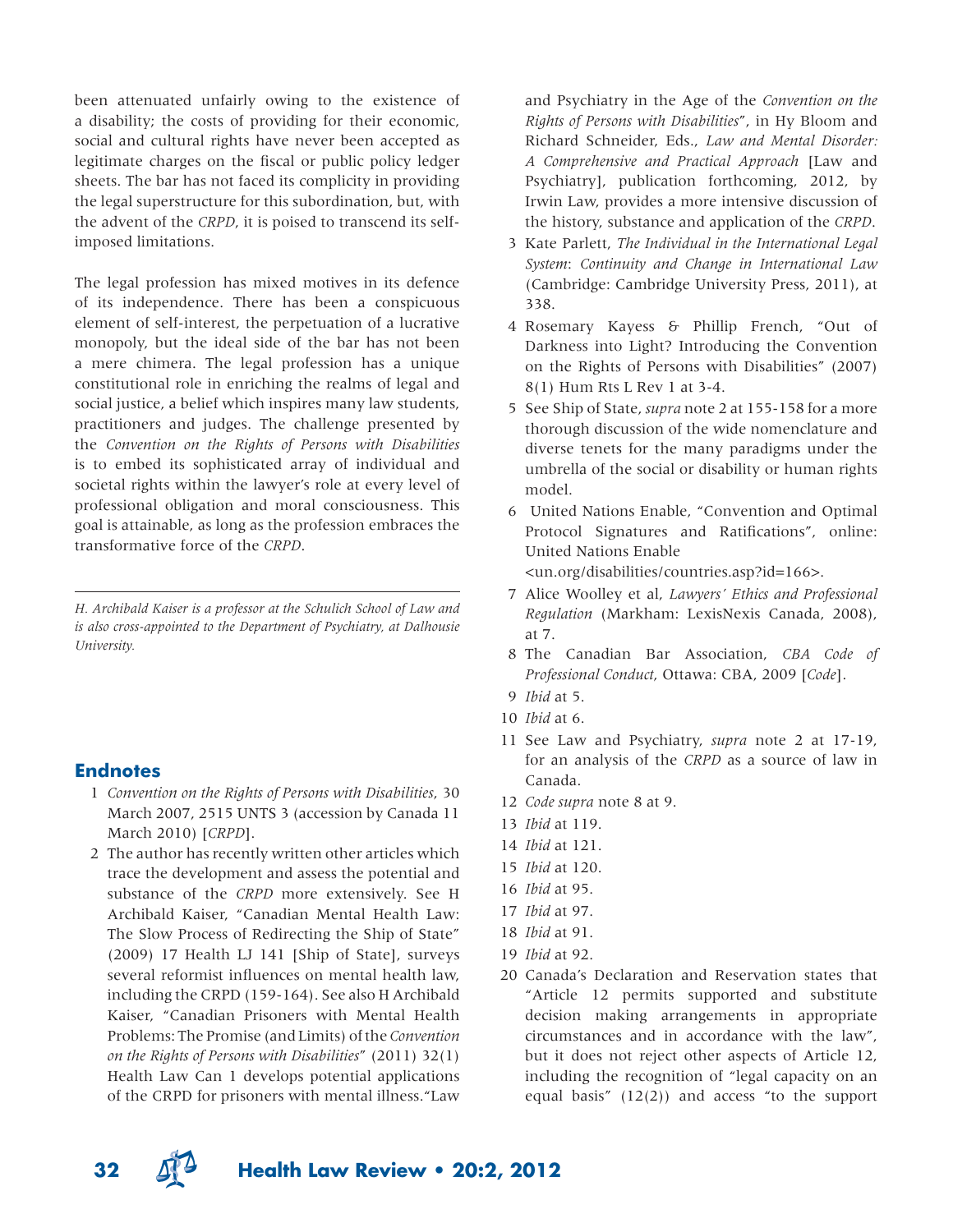been attenuated unfairly owing to the existence of a disability; the costs of providing for their economic, social and cultural rights have never been accepted as legitimate charges on the fiscal or public policy ledger sheets. The bar has not faced its complicity in providing the legal superstructure for this subordination, but, with the advent of the *CRPD*, it is poised to transcend its selfimposed limitations.

The legal profession has mixed motives in its defence of its independence. There has been a conspicuous element of self-interest, the perpetuation of a lucrative monopoly, but the ideal side of the bar has not been a mere chimera. The legal profession has a unique constitutional role in enriching the realms of legal and social justice, a belief which inspires many law students, practitioners and judges. The challenge presented by the *Convention on the Rights of Persons with Disabilities* is to embed its sophisticated array of individual and societal rights within the lawyer's role at every level of professional obligation and moral consciousness. This goal is attainable, as long as the profession embraces the transformative force of the *CRPD*.

*H. Archibald Kaiser is a professor at the Schulich School of Law and is also cross-appointed to the Department of Psychiatry, at Dalhousie University.* 

### **Endnotes**

- 1 *Convention on the Rights of Persons with Disabilities*, 30 March 2007, 2515 UNTS 3 (accession by Canada 11 March 2010) [*CRPD*].
- 2 The author has recently written other articles which trace the development and assess the potential and substance of the *CRPD* more extensively. See H Archibald Kaiser, "Canadian Mental Health Law: The Slow Process of Redirecting the Ship of State" (2009) 17 Health LJ 141 [Ship of State], surveys several reformist influences on mental health law, including the CRPD (159-164). See also H Archibald Kaiser, "Canadian Prisoners with Mental Health Problems: The Promise (and Limits) of the *Convention on the Rights of Persons with Disabilities*" (2011) 32(1) Health Law Can 1 develops potential applications of the CRPD for prisoners with mental illness."Law

and Psychiatry in the Age of the *Convention on the Rights of Persons with Disabilities*", in Hy Bloom and Richard Schneider, Eds., *Law and Mental Disorder: A Comprehensive and Practical Approach* [Law and Psychiatry], publication forthcoming, 2012, by Irwin Law, provides a more intensive discussion of the history, substance and application of the *CRPD*.

- 3 Kate Parlett, *The Individual in the International Legal System*: *Continuity and Change in International Law* (Cambridge: Cambridge University Press, 2011), at 338.
- 4 Rosemary Kayess & Phillip French, "Out of Darkness into Light? Introducing the Convention on the Rights of Persons with Disabilities" (2007) 8(1) Hum Rts L Rev 1 at 3-4.
- 5 See Ship of State, *supra* note 2 at 155-158 for a more thorough discussion of the wide nomenclature and diverse tenets for the many paradigms under the umbrella of the social or disability or human rights model.
- 6 United Nations Enable, "Convention and Optimal Protocol Signatures and Ratifications", online: United Nations Enable

<un.org/disabilities/countries.asp?id=166>.

- 7 Alice Woolley et al, *Lawyers' Ethics and Professional Regulation* (Markham: LexisNexis Canada, 2008), at 7.
- 8 The Canadian Bar Association, *CBA Code of Professional Conduct*, Ottawa: CBA, 2009 [*Code*].
- 9 *Ibid* at 5.
- 10 *Ibid* at 6.
- 11 See Law and Psychiatry, *supra* note 2 at 17-19, for an analysis of the *CRPD* as a source of law in Canada.
- 12 *Code supra* note 8 at 9.
- 13 *Ibid* at 119.
- 14 *Ibid* at 121.
- 15 *Ibid* at 120.
- 16 *Ibid* at 95.
- 17 *Ibid* at 97.
- 18 *Ibid* at 91.
- 19 *Ibid* at 92.
- 20 Canada's Declaration and Reservation states that "Article 12 permits supported and substitute decision making arrangements in appropriate circumstances and in accordance with the law", but it does not reject other aspects of Article 12, including the recognition of "legal capacity on an equal basis" (12(2)) and access "to the support

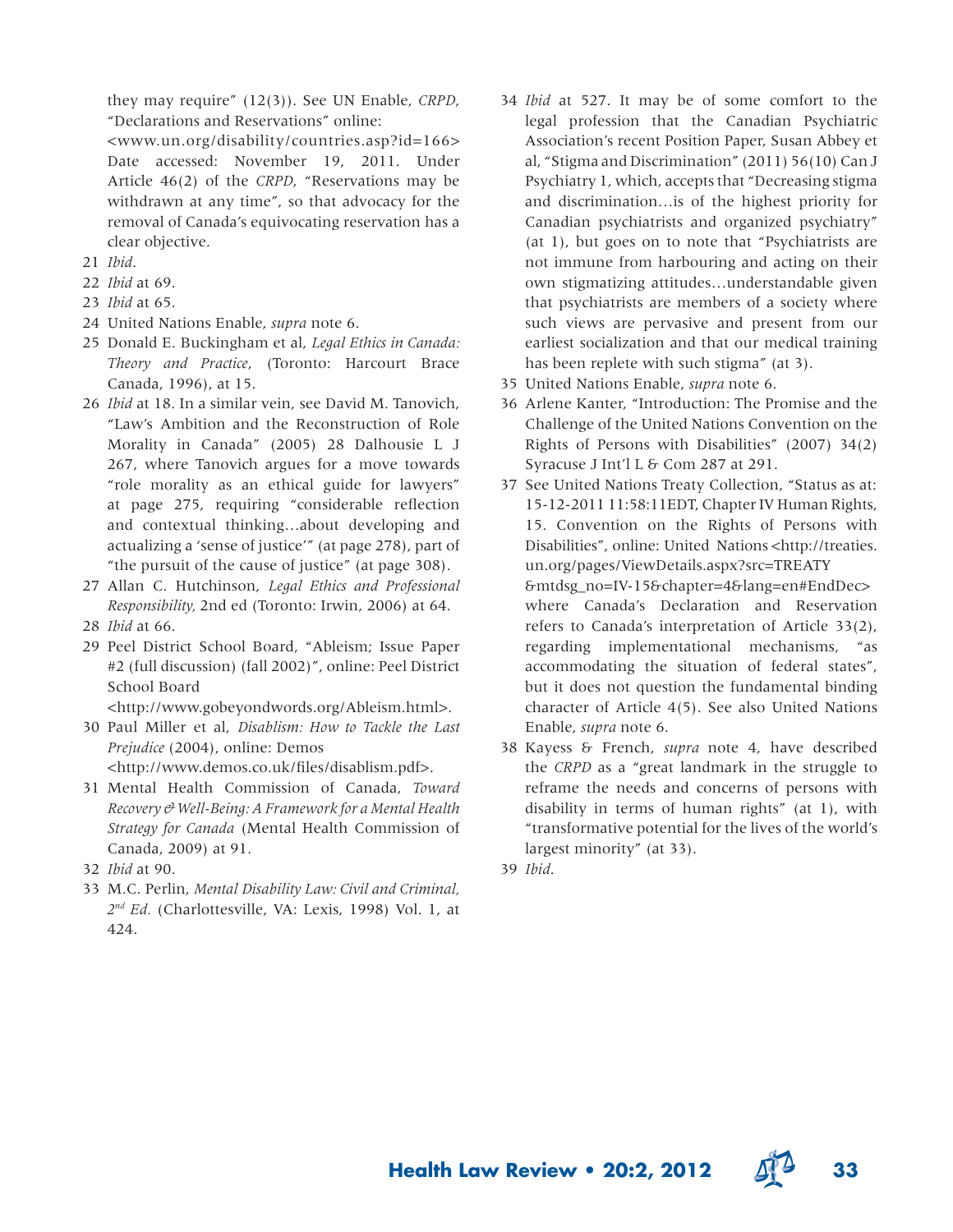they may require" (12(3)). See UN Enable, *CRPD*, "Declarations and Reservations" online:

 <www.un.org/disability/countries.asp?id=166> Date accessed: November 19, 2011. Under Article 46(2) of the *CRPD*, "Reservations may be withdrawn at any time", so that advocacy for the removal of Canada's equivocating reservation has a clear objective.

- 21 *Ibid*.
- 22 *Ibid* at 69.
- 23 *Ibid* at 65.
- 24 United Nations Enable, *supra* note 6.
- 25 Donald E. Buckingham et al, *Legal Ethics in Canada: Theory and Practice*, (Toronto: Harcourt Brace Canada, 1996), at 15.
- 26 *Ibid* at 18. In a similar vein, see David M. Tanovich, "Law's Ambition and the Reconstruction of Role Morality in Canada" (2005) 28 Dalhousie L J 267, where Tanovich argues for a move towards "role morality as an ethical guide for lawyers" at page 275, requiring "considerable reflection and contextual thinking…about developing and actualizing a 'sense of justice'" (at page 278), part of "the pursuit of the cause of justice" (at page 308).
- 27 Allan C. Hutchinson, *Legal Ethics and Professional Responsibility,* 2nd ed (Toronto: Irwin, 2006) at 64.
- 28 *Ibid* at 66.
- 29 Peel District School Board, "Ableism; Issue Paper #2 (full discussion) (fall 2002)", online: Peel District School Board

<http://www.gobeyondwords.org/Ableism.html>.

- 30 Paul Miller et al, *Disablism: How to Tackle the Last Prejudice* (2004), online: Demos <http://www.demos.co.uk/files/disablism.pdf>.
- 31 Mental Health Commission of Canada, *Toward Recovery & Well-Being: A Framework for a Mental Health Strategy for Canada* (Mental Health Commission of Canada, 2009) at 91.
- 32 *Ibid* at 90.
- 33 M.C. Perlin, *Mental Disability Law: Civil and Criminal, 2nd Ed.* (Charlottesville, VA: Lexis, 1998) Vol. 1, at 424.
- 34 *Ibid* at 527. It may be of some comfort to the legal profession that the Canadian Psychiatric Association's recent Position Paper, Susan Abbey et al, "Stigma and Discrimination" (2011) 56(10) Can J Psychiatry 1, which, accepts that "Decreasing stigma and discrimination…is of the highest priority for Canadian psychiatrists and organized psychiatry" (at 1), but goes on to note that "Psychiatrists are not immune from harbouring and acting on their own stigmatizing attitudes…understandable given that psychiatrists are members of a society where such views are pervasive and present from our earliest socialization and that our medical training has been replete with such stigma" (at 3).
- 35 United Nations Enable, *supra* note 6.
- 36 Arlene Kanter, "Introduction: The Promise and the Challenge of the United Nations Convention on the Rights of Persons with Disabilities" (2007) 34(2) Syracuse J Int'l L & Com 287 at 291.
- 37 See United Nations Treaty Collection, "Status as at: 15-12-2011 11:58:11EDT, Chapter IV Human Rights, 15. Convention on the Rights of Persons with Disabilities", online: United Nations <http://treaties. un.org/pages/ViewDetails.aspx?src=TREATY &mtdsg\_no=IV-15&chapter=4&lang=en#EndDec> where Canada's Declaration and Reservation refers to Canada's interpretation of Article 33(2), regarding implementational mechanisms, "as accommodating the situation of federal states", but it does not question the fundamental binding character of Article 4(5). See also United Nations Enable, *supra* note 6.
- 38 Kayess & French, *supra* note 4, have described the *CRPD* as a "great landmark in the struggle to reframe the needs and concerns of persons with disability in terms of human rights" (at 1), with "transformative potential for the lives of the world's largest minority" (at 33).
- 39 *Ibid*.